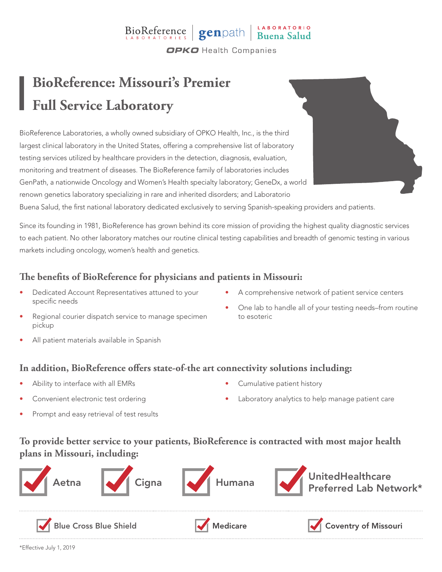### BioReference genpath Buena Salud **OPKO** Health Companies

## **BioReference: Missouri's Premier Full Service Laboratory**

BioReference Laboratories, a wholly owned subsidiary of OPKO Health, Inc., is the third largest clinical laboratory in the United States, offering a comprehensive list of laboratory testing services utilized by healthcare providers in the detection, diagnosis, evaluation, monitoring and treatment of diseases. The BioReference family of laboratories includes GenPath, a nationwide Oncology and Women's Health specialty laboratory; GeneDx, a world renown genetics laboratory specializing in rare and inherited disorders; and Laboratorio

Buena Salud, the first national laboratory dedicated exclusively to serving Spanish-speaking providers and patients.

Since its founding in 1981, BioReference has grown behind its core mission of providing the highest quality diagnostic services to each patient. No other laboratory matches our routine clinical testing capabilities and breadth of genomic testing in various markets including oncology, women's health and genetics.

### **The benefits of BioReference for physicians and patients in Missouri:**

- Dedicated Account Representatives attuned to your specific needs
- A comprehensive network of patient service centers
- Regional courier dispatch service to manage specimen • One lab to handle all of your testing needs–from routine to esoteric
- All patient materials available in Spanish
- **In addition, BioReference offers state-of-the art connectivity solutions including:**
- Ability to interface with all EMRs

pickup

- Convenient electronic test ordering
- Prompt and easy retrieval of test results
- Cumulative patient history
- Laboratory analytics to help manage patient care

### **To provide better service to your patients, BioReference is contracted with most major health plans in Missouri, including:**